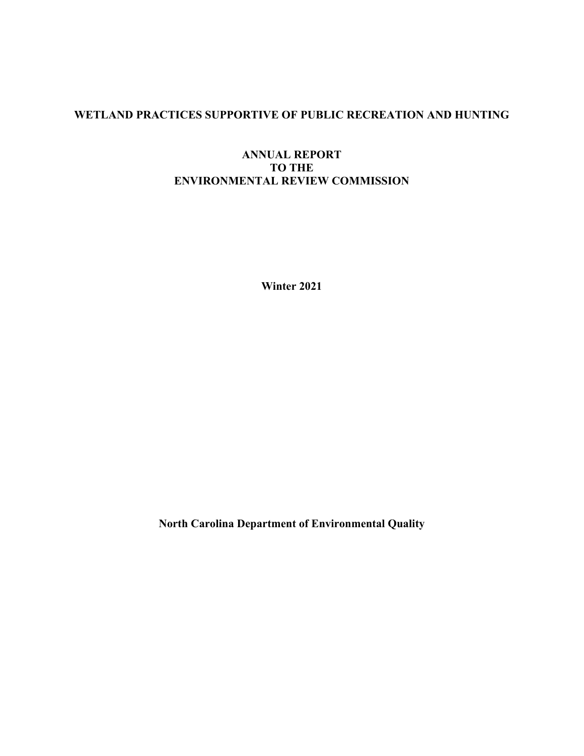# **WETLAND PRACTICES SUPPORTIVE OF PUBLIC RECREATION AND HUNTING**

## **ANNUAL REPORT TO THE ENVIRONMENTAL REVIEW COMMISSION**

**Winter 2021** 

**North Carolina Department of Environmental Quality**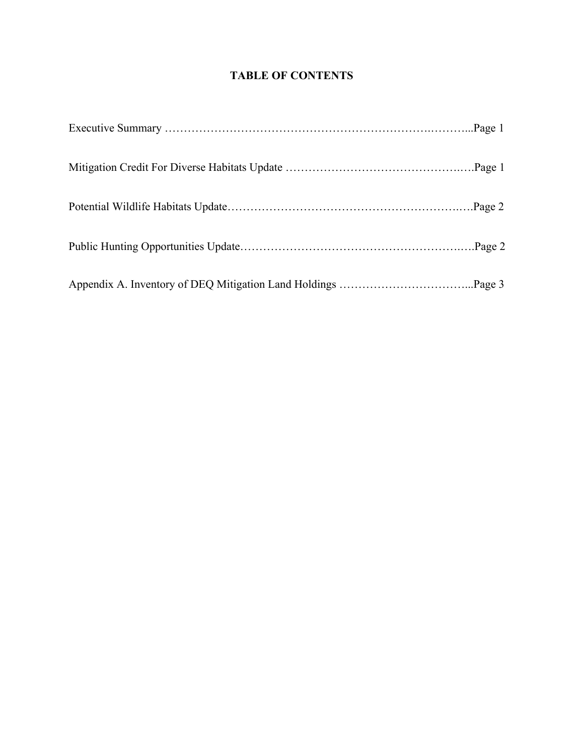# **TABLE OF CONTENTS**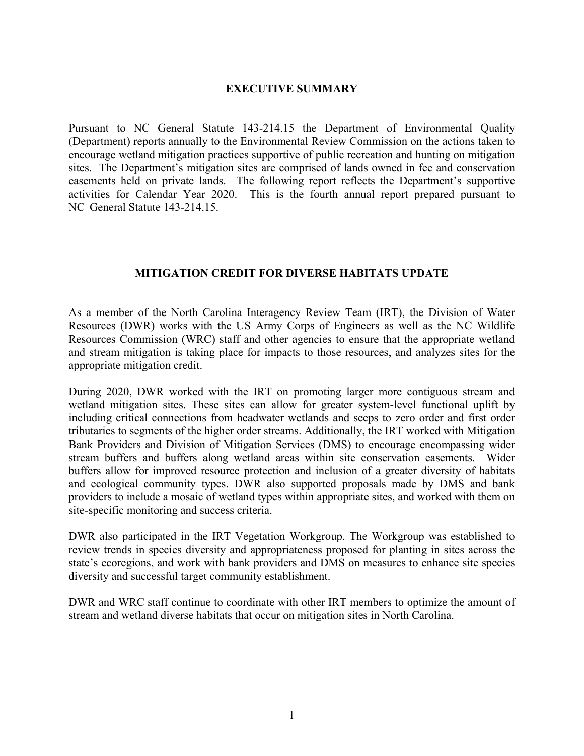#### **EXECUTIVE SUMMARY**

Pursuant to NC General Statute 143-214.15 the Department of Environmental Quality (Department) reports annually to the Environmental Review Commission on the actions taken to encourage wetland mitigation practices supportive of public recreation and hunting on mitigation sites. The Department's mitigation sites are comprised of lands owned in fee and conservation easements held on private lands. The following report reflects the Department's supportive activities for Calendar Year 2020. This is the fourth annual report prepared pursuant to NC General Statute 143-214.15.

## **MITIGATION CREDIT FOR DIVERSE HABITATS UPDATE**

As a member of the North Carolina Interagency Review Team (IRT), the Division of Water Resources (DWR) works with the US Army Corps of Engineers as well as the NC Wildlife Resources Commission (WRC) staff and other agencies to ensure that the appropriate wetland and stream mitigation is taking place for impacts to those resources, and analyzes sites for the appropriate mitigation credit.

During 2020, DWR worked with the IRT on promoting larger more contiguous stream and wetland mitigation sites. These sites can allow for greater system-level functional uplift by including critical connections from headwater wetlands and seeps to zero order and first order tributaries to segments of the higher order streams. Additionally, the IRT worked with Mitigation Bank Providers and Division of Mitigation Services (DMS) to encourage encompassing wider stream buffers and buffers along wetland areas within site conservation easements. Wider buffers allow for improved resource protection and inclusion of a greater diversity of habitats and ecological community types. DWR also supported proposals made by DMS and bank providers to include a mosaic of wetland types within appropriate sites, and worked with them on site-specific monitoring and success criteria.

DWR also participated in the IRT Vegetation Workgroup. The Workgroup was established to review trends in species diversity and appropriateness proposed for planting in sites across the state's ecoregions, and work with bank providers and DMS on measures to enhance site species diversity and successful target community establishment.

DWR and WRC staff continue to coordinate with other IRT members to optimize the amount of stream and wetland diverse habitats that occur on mitigation sites in North Carolina.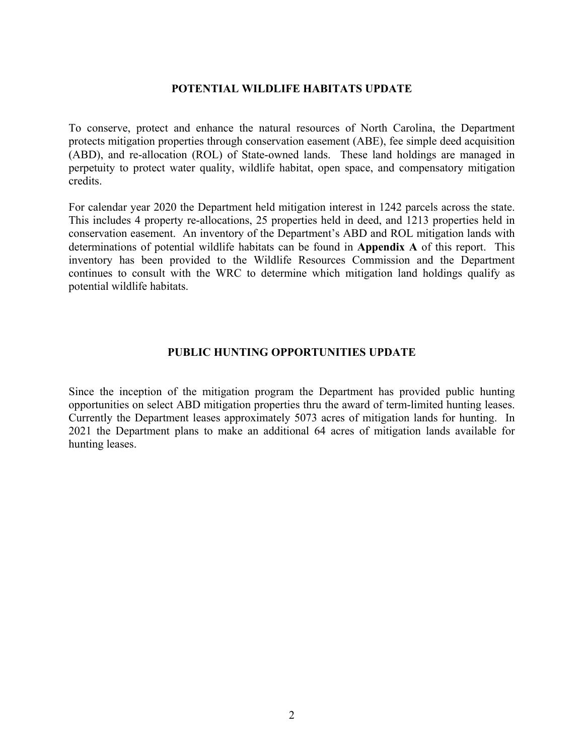### **POTENTIAL WILDLIFE HABITATS UPDATE**

To conserve, protect and enhance the natural resources of North Carolina, the Department protects mitigation properties through conservation easement (ABE), fee simple deed acquisition (ABD), and re-allocation (ROL) of State-owned lands. These land holdings are managed in perpetuity to protect water quality, wildlife habitat, open space, and compensatory mitigation credits.

For calendar year 2020 the Department held mitigation interest in 1242 parcels across the state. This includes 4 property re-allocations, 25 properties held in deed, and 1213 properties held in conservation easement. An inventory of the Department's ABD and ROL mitigation lands with determinations of potential wildlife habitats can be found in **Appendix A** of this report. This inventory has been provided to the Wildlife Resources Commission and the Department continues to consult with the WRC to determine which mitigation land holdings qualify as potential wildlife habitats.

### **PUBLIC HUNTING OPPORTUNITIES UPDATE**

Since the inception of the mitigation program the Department has provided public hunting opportunities on select ABD mitigation properties thru the award of term-limited hunting leases. Currently the Department leases approximately 5073 acres of mitigation lands for hunting. In 2021 the Department plans to make an additional 64 acres of mitigation lands available for hunting leases.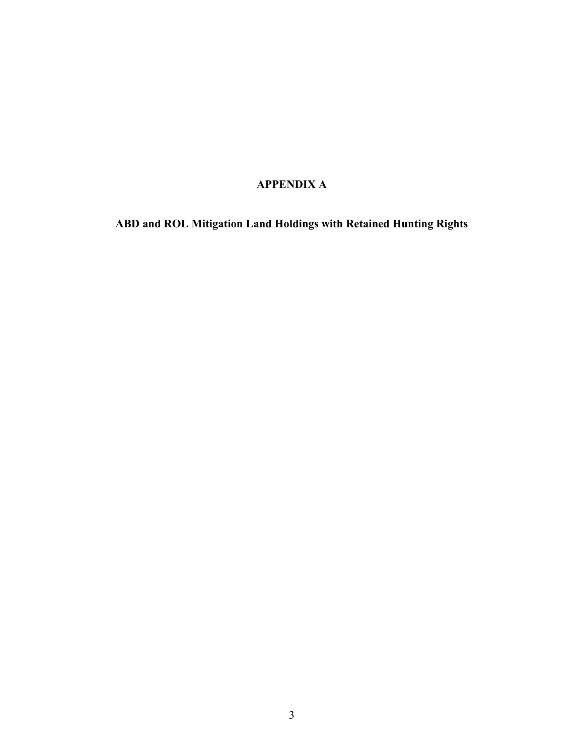# **APPENDIX A**

**ABD and ROL Mitigation Land Holdings with Retained Hunting Rights**